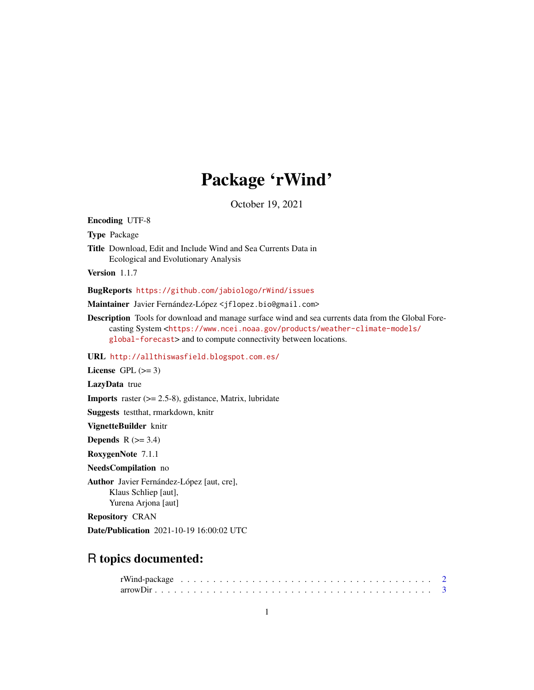# Package 'rWind'

October 19, 2021

<span id="page-0-0"></span>Encoding UTF-8 Type Package Title Download, Edit and Include Wind and Sea Currents Data in Ecological and Evolutionary Analysis Version 1.1.7 BugReports <https://github.com/jabiologo/rWind/issues> Maintainer Javier Fernández-López <jflopez.bio@gmail.com> Description Tools for download and manage surface wind and sea currents data from the Global Forecasting System <[https://www.ncei.noaa.gov/products/weather-climate-models/](https://www.ncei.noaa.gov/products/weather-climate-models/global-forecast) [global-forecast](https://www.ncei.noaa.gov/products/weather-climate-models/global-forecast)> and to compute connectivity between locations. URL <http://allthiswasfield.blogspot.com.es/> License GPL  $(>= 3)$ LazyData true **Imports** raster  $(>= 2.5-8)$ , gdistance, Matrix, lubridate Suggests testthat, rmarkdown, knitr VignetteBuilder knitr Depends  $R$  ( $>= 3.4$ ) RoxygenNote 7.1.1 NeedsCompilation no Author Javier Fernández-López [aut, cre], Klaus Schliep [aut], Yurena Arjona [aut] Repository CRAN Date/Publication 2021-10-19 16:00:02 UTC R topics documented: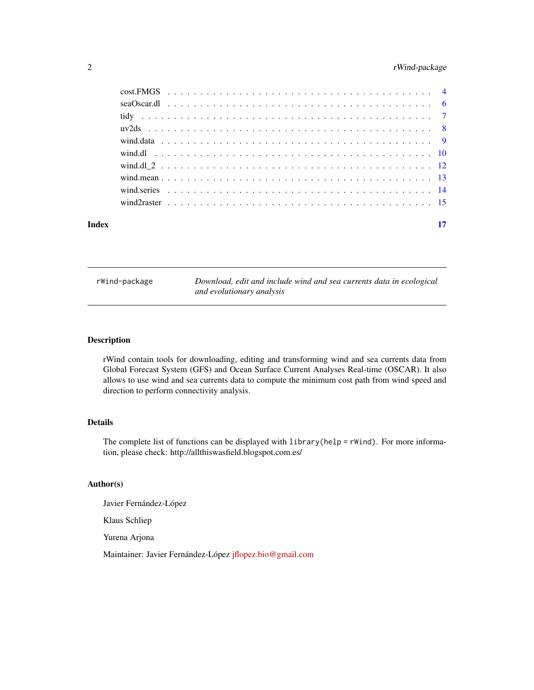# <span id="page-1-0"></span>2 rWind-package

| Index |  |  |  |  |  |  |  |  |  |  |  |  |  |  |  |  |  |  |  | 17 |
|-------|--|--|--|--|--|--|--|--|--|--|--|--|--|--|--|--|--|--|--|----|

rWind-package *Download, edit and include wind and sea currents data in ecological and evolutionary analysis*

# Description

rWind contain tools for downloading, editing and transforming wind and sea currents data from Global Forecast System (GFS) and Ocean Surface Current Analyses Real-time (OSCAR). It also allows to use wind and sea currents data to compute the minimum cost path from wind speed and direction to perform connectivity analysis.

# Details

The complete list of functions can be displayed with library(help = rWind). For more information, please check: http://allthiswasfield.blogspot.com.es/

# Author(s)

Javier Fernández-López

Klaus Schliep

Yurena Arjona

Maintainer: Javier Fernández-López [jflopez.bio@gmail.com](mailto:jflopez.bio@gmail.com)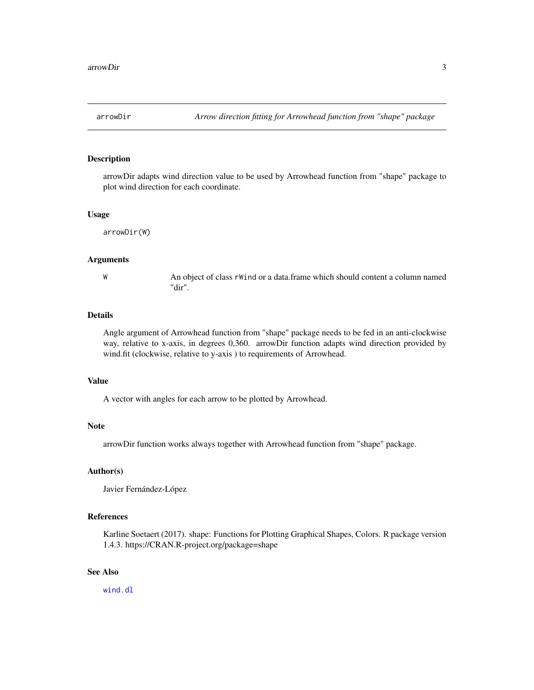<span id="page-2-0"></span>

# Description

arrowDir adapts wind direction value to be used by Arrowhead function from "shape" package to plot wind direction for each coordinate.

#### Usage

arrowDir(W)

#### Arguments

W An object of class rWind or a data.frame which should content a column named "dir".

# Details

Angle argument of Arrowhead function from "shape" package needs to be fed in an anti-clockwise way, relative to x-axis, in degrees 0,360. arrowDir function adapts wind direction provided by wind.fit (clockwise, relative to y-axis ) to requirements of Arrowhead.

# Value

A vector with angles for each arrow to be plotted by Arrowhead.

# Note

arrowDir function works always together with Arrowhead function from "shape" package.

#### Author(s)

Javier Fernández-López

# References

Karline Soetaert (2017). shape: Functions for Plotting Graphical Shapes, Colors. R package version 1.4.3. https://CRAN.R-project.org/package=shape

# See Also

[wind.dl](#page-9-1)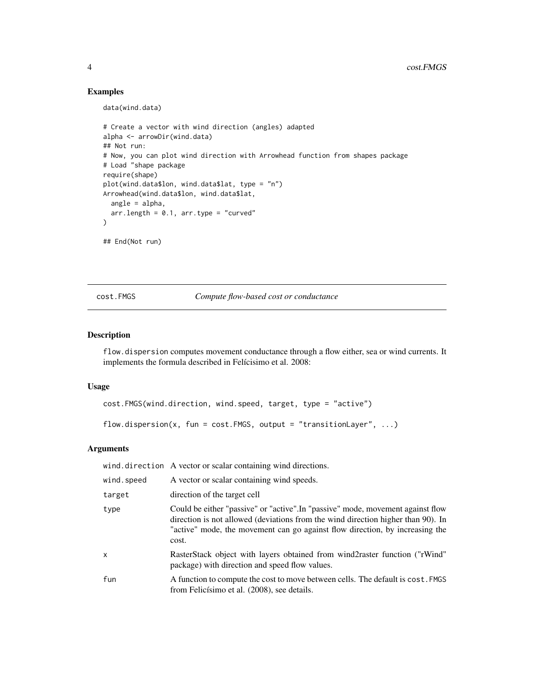# Examples

data(wind.data)

```
# Create a vector with wind direction (angles) adapted
alpha <- arrowDir(wind.data)
## Not run:
# Now, you can plot wind direction with Arrowhead function from shapes package
# Load "shape package
require(shape)
plot(wind.data$lon, wind.data$lat, type = "n")
Arrowhead(wind.data$lon, wind.data$lat,
  angle = alpha,
  arr.length = 0.1, arr-type = "curved")
## End(Not run)
```
#### cost.FMGS *Compute flow-based cost or conductance*

# Description

flow.dispersion computes movement conductance through a flow either, sea or wind currents. It implements the formula described in Felícisimo et al. 2008:

#### Usage

```
cost.FMGS(wind.direction, wind.speed, target, type = "active")
```
flow.dispersion(x, fun = cost. FMGS, output = "transitionLayer",  $\dots$ )

# Arguments

wind.direction A vector or scalar containing wind directions.

| A vector or scalar containing wind speeds.                                                                                                                                                                                                                   |
|--------------------------------------------------------------------------------------------------------------------------------------------------------------------------------------------------------------------------------------------------------------|
| direction of the target cell                                                                                                                                                                                                                                 |
| Could be either "passive" or "active". In "passive" mode, movement against flow<br>direction is not allowed (deviations from the wind direction higher than 90). In<br>"active" mode, the movement can go against flow direction, by increasing the<br>cost. |
| RasterStack object with layers obtained from wind2raster function ("rWind"<br>package) with direction and speed flow values.                                                                                                                                 |
| A function to compute the cost to move between cells. The default is cost. FMGS<br>from Felicísimo et al. (2008), see details.                                                                                                                               |
|                                                                                                                                                                                                                                                              |

<span id="page-3-0"></span>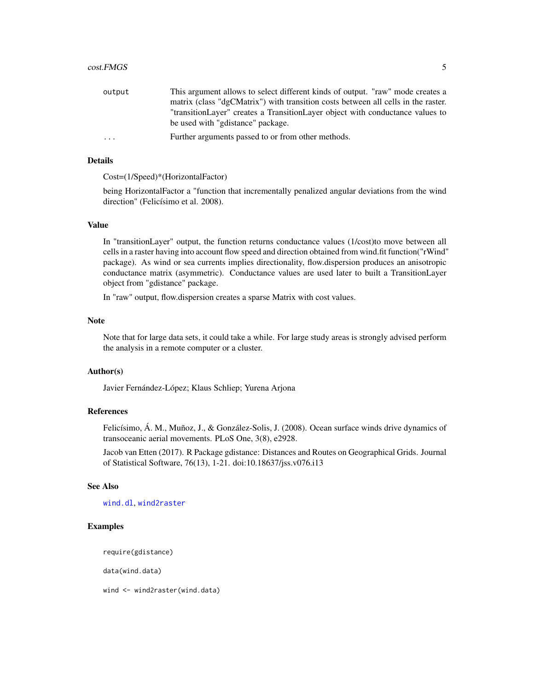#### <span id="page-4-0"></span>cost.FMGS 5

| output | This argument allows to select different kinds of output. "raw" mode creates a    |
|--------|-----------------------------------------------------------------------------------|
|        | matrix (class "dgCMatrix") with transition costs between all cells in the raster. |
|        | "transitionLayer" creates a TransitionLayer object with conductance values to     |
|        | be used with "gdistance" package.                                                 |
| .      | Further arguments passed to or from other methods.                                |
|        |                                                                                   |

# Details

Cost=(1/Speed)\*(HorizontalFactor)

being HorizontalFactor a "function that incrementally penalized angular deviations from the wind direction" (Felicísimo et al. 2008).

# Value

In "transitionLayer" output, the function returns conductance values (1/cost)to move between all cells in a raster having into account flow speed and direction obtained from wind.fit function("rWind" package). As wind or sea currents implies directionality, flow.dispersion produces an anisotropic conductance matrix (asymmetric). Conductance values are used later to built a TransitionLayer object from "gdistance" package.

In "raw" output, flow.dispersion creates a sparse Matrix with cost values.

# Note

Note that for large data sets, it could take a while. For large study areas is strongly advised perform the analysis in a remote computer or a cluster.

# Author(s)

Javier Fernández-López; Klaus Schliep; Yurena Arjona

# References

Felicísimo, Á. M., Muñoz, J., & González-Solis, J. (2008). Ocean surface winds drive dynamics of transoceanic aerial movements. PLoS One, 3(8), e2928.

Jacob van Etten (2017). R Package gdistance: Distances and Routes on Geographical Grids. Journal of Statistical Software, 76(13), 1-21. doi:10.18637/jss.v076.i13

# See Also

[wind.dl](#page-9-1), [wind2raster](#page-14-1)

#### Examples

require(gdistance)

data(wind.data)

wind <- wind2raster(wind.data)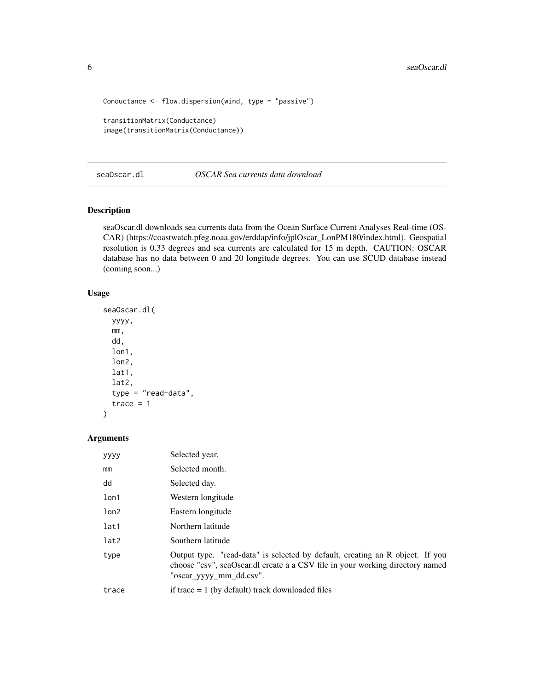```
Conductance <- flow.dispersion(wind, type = "passive")
transitionMatrix(Conductance)
image(transitionMatrix(Conductance))
```
seaOscar.dl *OSCAR Sea currents data download*

# Description

seaOscar.dl downloads sea currents data from the Ocean Surface Current Analyses Real-time (OS-CAR) (https://coastwatch.pfeg.noaa.gov/erddap/info/jplOscar\_LonPM180/index.html). Geospatial resolution is 0.33 degrees and sea currents are calculated for 15 m depth. CAUTION: OSCAR database has no data between 0 and 20 longitude degrees. You can use SCUD database instead (coming soon...)

# Usage

```
seaOscar.dl(
 yyyy,
 mm,
 dd,
  lon1,
 lon2,
 lat1,
  lat2,
  type = "read-data",
  trace = 1)
```
# Arguments

| yyyy  | Selected year.                                                                                                                                                                            |
|-------|-------------------------------------------------------------------------------------------------------------------------------------------------------------------------------------------|
| mm    | Selected month.                                                                                                                                                                           |
| dd    | Selected day.                                                                                                                                                                             |
| lon1  | Western longitude                                                                                                                                                                         |
| lon2  | Eastern longitude                                                                                                                                                                         |
| lat1  | Northern latitude                                                                                                                                                                         |
| lat2  | Southern latitude                                                                                                                                                                         |
| type  | Output type. "read-data" is selected by default, creating an R object. If you<br>choose "csv", seaOscar.dl create a a CSV file in your working directory named<br>"oscar_yyyy_mm_dd.csv". |
| trace | if trace $= 1$ (by default) track downloaded files                                                                                                                                        |
|       |                                                                                                                                                                                           |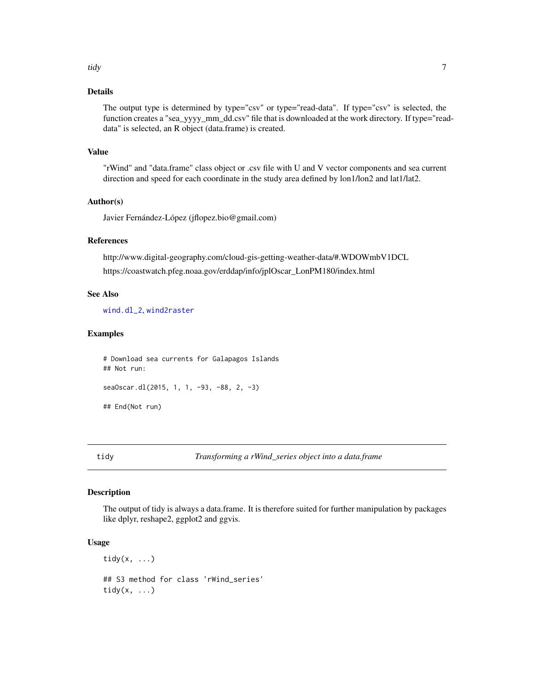#### <span id="page-6-0"></span>tidy the contract of the contract of the contract of the contract of the contract of the contract of the contract of the contract of the contract of the contract of the contract of the contract of the contract of the contr

# Details

The output type is determined by type="csv" or type="read-data". If type="csv" is selected, the function creates a "sea\_yyyy\_mm\_dd.csv" file that is downloaded at the work directory. If type="readdata" is selected, an R object (data.frame) is created.

#### Value

"rWind" and "data.frame" class object or .csv file with U and V vector components and sea current direction and speed for each coordinate in the study area defined by lon1/lon2 and lat1/lat2.

## Author(s)

Javier Fernández-López (jflopez.bio@gmail.com)

#### References

http://www.digital-geography.com/cloud-gis-getting-weather-data/#.WDOWmbV1DCL https://coastwatch.pfeg.noaa.gov/erddap/info/jplOscar\_LonPM180/index.html

#### See Also

[wind.dl\\_2](#page-11-1), [wind2raster](#page-14-1)

# Examples

# Download sea currents for Galapagos Islands ## Not run: seaOscar.dl(2015, 1, 1, -93, -88, 2, -3)

## End(Not run)

tidy *Transforming a rWind\_series object into a data.frame*

#### Description

The output of tidy is always a data.frame. It is therefore suited for further manipulation by packages like dplyr, reshape2, ggplot2 and ggvis.

#### Usage

 $\text{tidy}(x, \ldots)$ ## S3 method for class 'rWind\_series' tidy $(x, \ldots)$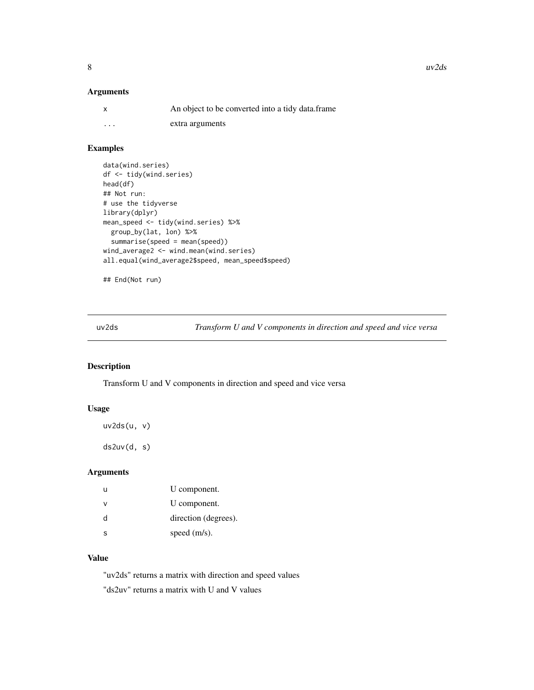# <span id="page-7-0"></span>Arguments

|          | An object to be converted into a tidy data frame. |
|----------|---------------------------------------------------|
| $\cdots$ | extra arguments                                   |

# Examples

```
data(wind.series)
df <- tidy(wind.series)
head(df)
## Not run:
# use the tidyverse
library(dplyr)
mean_speed <- tidy(wind.series) %>%
  group_by(lat, lon) %>%
  summarise(speed = mean(speed))
wind_average2 <- wind.mean(wind.series)
all.equal(wind_average2$speed, mean_speed$speed)
```
## End(Not run)

uv2ds *Transform U and V components in direction and speed and vice versa*

# Description

Transform U and V components in direction and speed and vice versa

# Usage

```
uv2ds(u, v)
```
ds2uv(d, s)

# Arguments

| u | U component.         |
|---|----------------------|
| ν | U component.         |
| d | direction (degrees). |
| S | speed $(m/s)$ .      |

# Value

"uv2ds" returns a matrix with direction and speed values "ds2uv" returns a matrix with U and V values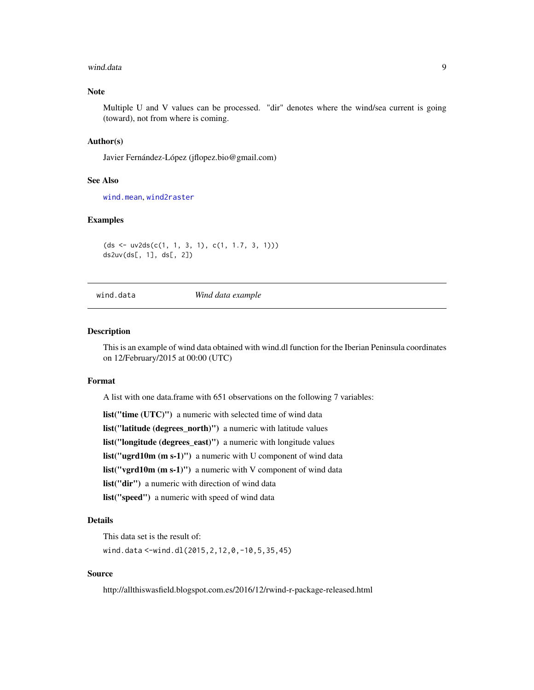#### <span id="page-8-0"></span>wind.data 9

# Note

Multiple U and V values can be processed. "dir" denotes where the wind/sea current is going (toward), not from where is coming.

#### Author(s)

Javier Fernández-López (jflopez.bio@gmail.com)

## See Also

[wind.mean](#page-12-1), [wind2raster](#page-14-1)

#### Examples

```
(ds \leq uv2ds(c(1, 1, 3, 1), c(1, 1.7, 3, 1)))ds2uv(ds[, 1], ds[, 2])
```
#### wind.data *Wind data example*

#### Description

This is an example of wind data obtained with wind.dl function for the Iberian Peninsula coordinates on 12/February/2015 at 00:00 (UTC)

#### Format

A list with one data.frame with 651 observations on the following 7 variables:

list("time (UTC)") a numeric with selected time of wind data list("latitude (degrees\_north)") a numeric with latitude values list("longitude (degrees\_east)") a numeric with longitude values list("ugrd10m (m s-1)") a numeric with U component of wind data list("vgrd10m (m s-1)") a numeric with V component of wind data list("dir") a numeric with direction of wind data list("speed") a numeric with speed of wind data

# Details

This data set is the result of:

wind.data <-wind.dl(2015,2,12,0,-10,5,35,45)

# Source

http://allthiswasfield.blogspot.com.es/2016/12/rwind-r-package-released.html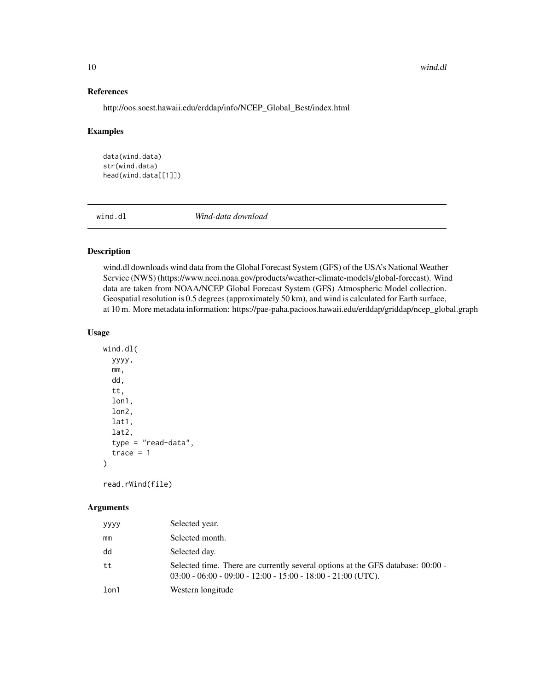#### 10 wind.dl

# References

http://oos.soest.hawaii.edu/erddap/info/NCEP\_Global\_Best/index.html

#### Examples

data(wind.data) str(wind.data) head(wind.data[[1]])

<span id="page-9-1"></span>wind.dl *Wind-data download*

# Description

wind.dl downloads wind data from the Global Forecast System (GFS) of the USA's National Weather Service (NWS) (https://www.ncei.noaa.gov/products/weather-climate-models/global-forecast). Wind data are taken from NOAA/NCEP Global Forecast System (GFS) Atmospheric Model collection. Geospatial resolution is 0.5 degrees (approximately 50 km), and wind is calculated for Earth surface, at 10 m. More metadata information: https://pae-paha.pacioos.hawaii.edu/erddap/griddap/ncep\_global.graph

# Usage

```
wind.dl(
  yyyy,
  mm,
  dd,
  tt,
  lon1,
  lon2,
  lat1,
  lat2,
  type = "read-data",
  trace = 1)
```
read.rWind(file)

# Arguments

| yyyy | Selected year.                                                                                                                                    |
|------|---------------------------------------------------------------------------------------------------------------------------------------------------|
| mm   | Selected month.                                                                                                                                   |
| dd   | Selected day.                                                                                                                                     |
| tt   | Selected time. There are currently several options at the GFS database: 00:00 -<br>$03:00 - 06:00 - 09:00 - 12:00 - 15:00 - 18:00 - 21:00$ (UTC). |
| lon1 | Western longitude                                                                                                                                 |

<span id="page-9-0"></span>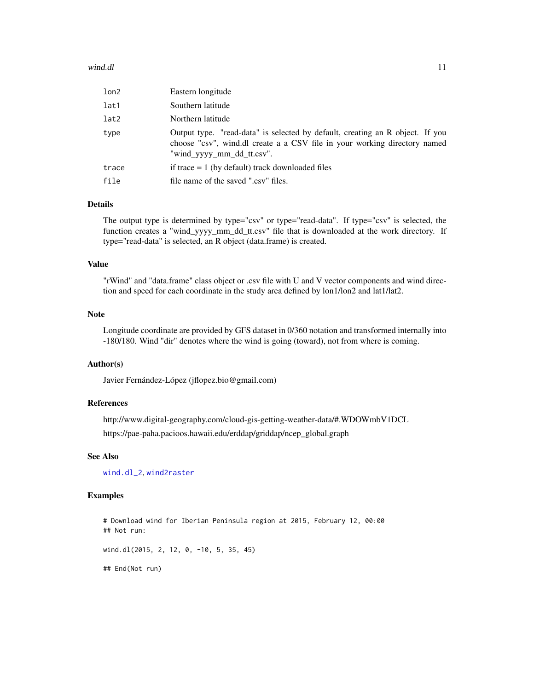#### <span id="page-10-0"></span>wind.dl 2008 and 2008 and 2008 and 2008 and 2008 and 2008 and 2008 and 2008 and 2008 and 2008 and 2008 and 200

| lon2  | Eastern longitude                                                                                                                                                                       |
|-------|-----------------------------------------------------------------------------------------------------------------------------------------------------------------------------------------|
| lat1  | Southern latitude                                                                                                                                                                       |
| lat2  | Northern latitude                                                                                                                                                                       |
| type  | Output type. "read-data" is selected by default, creating an R object. If you<br>choose "csv", wind.dl create a a CSV file in your working directory named<br>"wind_yyyy_mm_dd_tt.csv". |
| trace | if trace $= 1$ (by default) track downloaded files                                                                                                                                      |
| file  | file name of the saved ".csv" files.                                                                                                                                                    |

# Details

The output type is determined by type="csv" or type="read-data". If type="csv" is selected, the function creates a "wind\_yyyy\_mm\_dd\_tt.csv" file that is downloaded at the work directory. If type="read-data" is selected, an R object (data.frame) is created.

# Value

"rWind" and "data.frame" class object or .csv file with U and V vector components and wind direction and speed for each coordinate in the study area defined by lon1/lon2 and lat1/lat2.

#### Note

Longitude coordinate are provided by GFS dataset in 0/360 notation and transformed internally into -180/180. Wind "dir" denotes where the wind is going (toward), not from where is coming.

# Author(s)

Javier Fernández-López (jflopez.bio@gmail.com)

# References

http://www.digital-geography.com/cloud-gis-getting-weather-data/#.WDOWmbV1DCL https://pae-paha.pacioos.hawaii.edu/erddap/griddap/ncep\_global.graph

# See Also

[wind.dl\\_2](#page-11-1), [wind2raster](#page-14-1)

#### Examples

# Download wind for Iberian Peninsula region at 2015, February 12, 00:00 ## Not run:

wind.dl(2015, 2, 12, 0, -10, 5, 35, 45)

## End(Not run)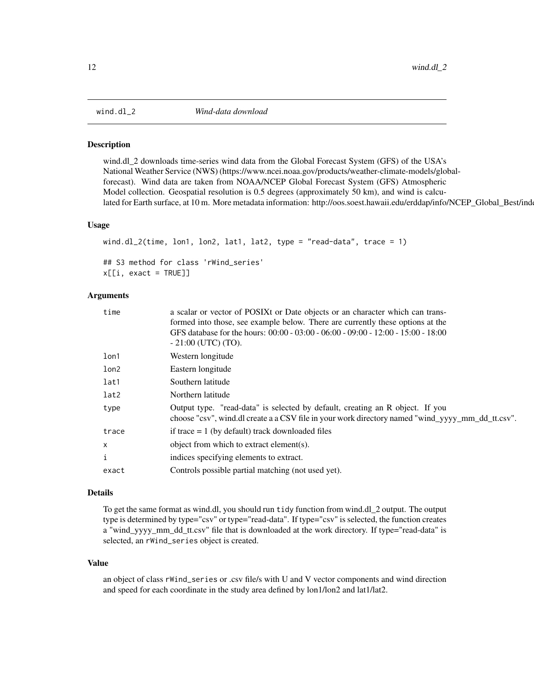<span id="page-11-1"></span><span id="page-11-0"></span>

#### **Description**

wind.dl\_2 downloads time-series wind data from the Global Forecast System (GFS) of the USA's National Weather Service (NWS) (https://www.ncei.noaa.gov/products/weather-climate-models/globalforecast). Wind data are taken from NOAA/NCEP Global Forecast System (GFS) Atmospheric Model collection. Geospatial resolution is 0.5 degrees (approximately 50 km), and wind is calculated for Earth surface, at 10 m. More metadata information: http://oos.soest.hawaii.edu/erddap/info/NCEP\_Global\_Best/ind

#### Usage

```
wind.dl_2(time, lon1, lon2, lat1, lat2, type = "read-data", trace = 1)
## S3 method for class 'rWind_series'
x[[i, exact = TRUE]]
```
#### Arguments

| a scalar or vector of POSIX tor Date objects or an character which can trans-                    |
|--------------------------------------------------------------------------------------------------|
| formed into those, see example below. There are currently these options at the                   |
| GFS database for the hours: 00:00 - 03:00 - 06:00 - 09:00 - 12:00 - 15:00 - 18:00                |
| $-21:00$ (UTC) (TO).                                                                             |
| Western longitude                                                                                |
| Eastern longitude                                                                                |
| Southern latitude                                                                                |
| Northern latitude                                                                                |
| Output type. "read-data" is selected by default, creating an R object. If you                    |
| choose "csv", wind.dl create a a CSV file in your work directory named "wind_yyyy_mm_dd_tt.csv". |
| if trace $= 1$ (by default) track downloaded files                                               |
| object from which to extract element(s).                                                         |
| indices specifying elements to extract.                                                          |
| Controls possible partial matching (not used yet).                                               |
|                                                                                                  |

# Details

To get the same format as wind.dl, you should run tidy function from wind.dl\_2 output. The output type is determined by type="csv" or type="read-data". If type="csv" is selected, the function creates a "wind\_yyyy\_mm\_dd\_tt.csv" file that is downloaded at the work directory. If type="read-data" is selected, an rWind\_series object is created.

#### Value

an object of class rWind\_series or .csv file/s with U and V vector components and wind direction and speed for each coordinate in the study area defined by lon1/lon2 and lat1/lat2.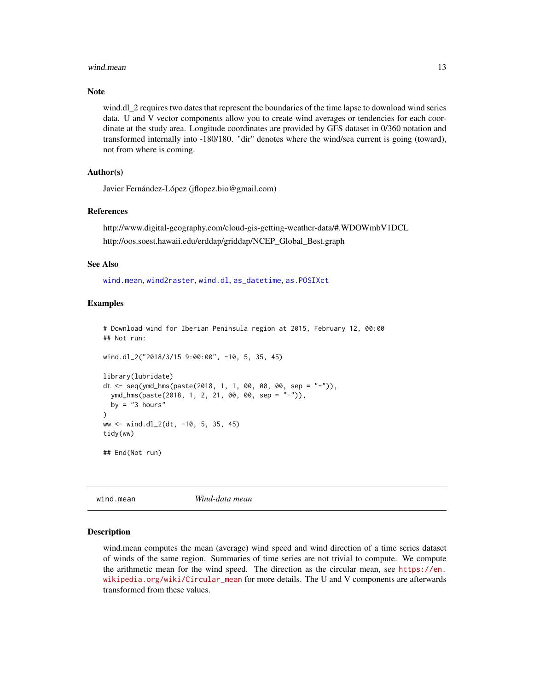#### <span id="page-12-0"></span>wind.mean 13

# Note

wind.dl 2 requires two dates that represent the boundaries of the time lapse to download wind series data. U and V vector components allow you to create wind averages or tendencies for each coordinate at the study area. Longitude coordinates are provided by GFS dataset in 0/360 notation and transformed internally into -180/180. "dir" denotes where the wind/sea current is going (toward), not from where is coming.

# Author(s)

Javier Fernández-López (jflopez.bio@gmail.com)

### References

http://www.digital-geography.com/cloud-gis-getting-weather-data/#.WDOWmbV1DCL http://oos.soest.hawaii.edu/erddap/griddap/NCEP\_Global\_Best.graph

#### See Also

[wind.mean](#page-12-1), [wind2raster](#page-14-1), [wind.dl](#page-9-1), [as\\_datetime](#page-0-0), [as.POSIXct](#page-0-0)

# Examples

# Download wind for Iberian Peninsula region at 2015, February 12, 00:00 ## Not run:

```
wind.dl_2("2018/3/15 9:00:00", -10, 5, 35, 45)
```

```
library(lubridate)
dt <- seq(ymd_hms(paste(2018, 1, 1, 00, 00, 00, sep = "-")),
 ymd_hms(paste(2018, 1, 2, 21, 00, 00, sep = "-")),
 by = "3 hours"
)
ww <- wind.dl_2(dt, -10, 5, 35, 45)
tidy(ww)
## End(Not run)
```
<span id="page-12-1"></span>wind.mean *Wind-data mean*

#### Description

wind.mean computes the mean (average) wind speed and wind direction of a time series dataset of winds of the same region. Summaries of time series are not trivial to compute. We compute the arithmetic mean for the wind speed. The direction as the circular mean, see [https://en.](https://en.wikipedia.org/wiki/Circular_mean) [wikipedia.org/wiki/Circular\\_mean](https://en.wikipedia.org/wiki/Circular_mean) for more details. The U and V components are afterwards transformed from these values.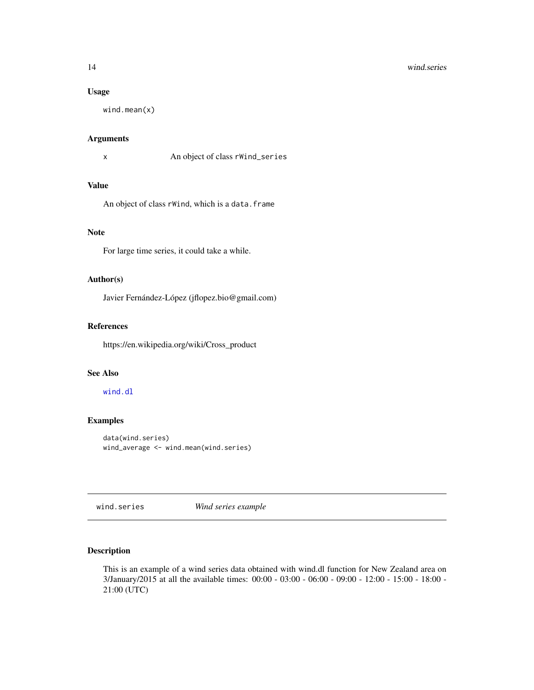#### <span id="page-13-0"></span>14 wind.series

# Usage

wind.mean(x)

# Arguments

x An object of class rWind\_series

# Value

An object of class rWind, which is a data.frame

#### Note

For large time series, it could take a while.

# Author(s)

Javier Fernández-López (jflopez.bio@gmail.com)

# References

https://en.wikipedia.org/wiki/Cross\_product

# See Also

# [wind.dl](#page-9-1)

# Examples

```
data(wind.series)
wind_average <- wind.mean(wind.series)
```
wind.series *Wind series example*

# Description

This is an example of a wind series data obtained with wind.dl function for New Zealand area on 3/January/2015 at all the available times: 00:00 - 03:00 - 06:00 - 09:00 - 12:00 - 15:00 - 18:00 - 21:00 (UTC)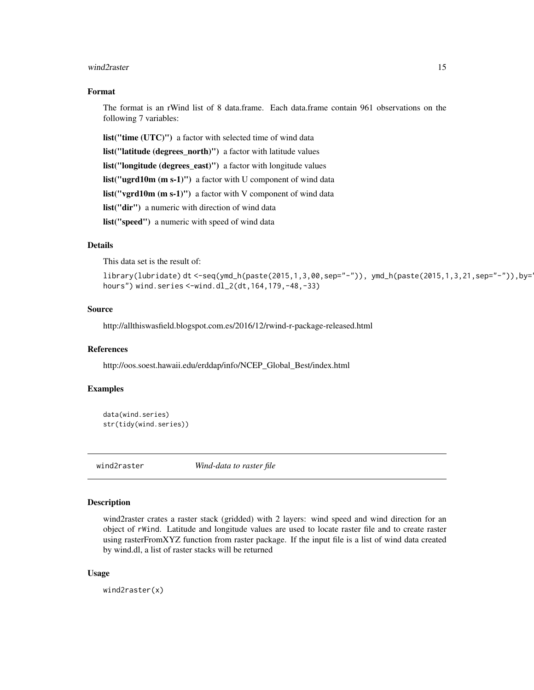#### <span id="page-14-0"></span>wind2raster 15

#### Format

The format is an rWind list of 8 data.frame. Each data.frame contain 961 observations on the following 7 variables:

list("time (UTC)") a factor with selected time of wind data

list("latitude (degrees\_north)") a factor with latitude values

list("longitude (degrees\_east)") a factor with longitude values

list("ugrd10m (m s-1)") a factor with U component of wind data

list("vgrd10m (m s-1)") a factor with V component of wind data

list("dir") a numeric with direction of wind data

list("speed") a numeric with speed of wind data

# Details

This data set is the result of:

library(lubridate) dt <-seq(ymd\_h(paste(2015,1,3,00,sep="-")), ymd\_h(paste(2015,1,3,21,sep="-")),by="3 hours") wind.series <-wind.dl\_2(dt,164,179,-48,-33)

#### Source

http://allthiswasfield.blogspot.com.es/2016/12/rwind-r-package-released.html

# References

http://oos.soest.hawaii.edu/erddap/info/NCEP\_Global\_Best/index.html

# Examples

```
data(wind.series)
str(tidy(wind.series))
```
<span id="page-14-1"></span>

wind2raster *Wind-data to raster file*

# Description

wind2raster crates a raster stack (gridded) with 2 layers: wind speed and wind direction for an object of rWind. Latitude and longitude values are used to locate raster file and to create raster using rasterFromXYZ function from raster package. If the input file is a list of wind data created by wind.dl, a list of raster stacks will be returned

# Usage

wind2raster(x)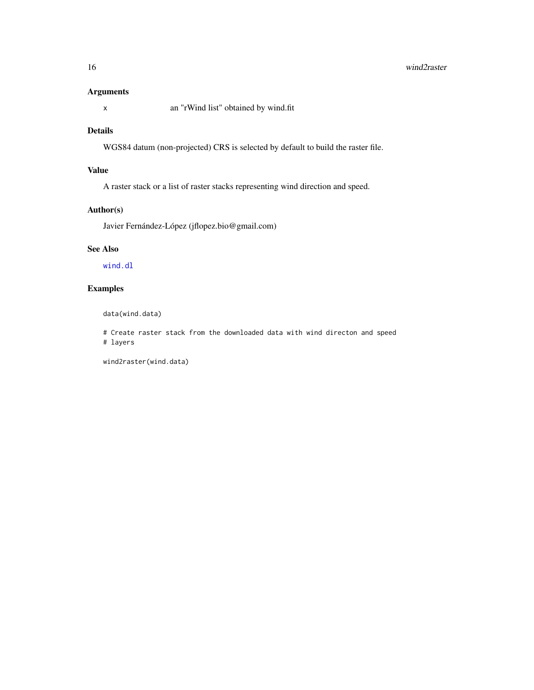#### <span id="page-15-0"></span>16 wind2raster

# Arguments

x an "rWind list" obtained by wind.fit

# Details

WGS84 datum (non-projected) CRS is selected by default to build the raster file.

# Value

A raster stack or a list of raster stacks representing wind direction and speed.

# Author(s)

Javier Fernández-López (jflopez.bio@gmail.com)

# See Also

[wind.dl](#page-9-1)

# Examples

data(wind.data)

# Create raster stack from the downloaded data with wind directon and speed # layers

wind2raster(wind.data)